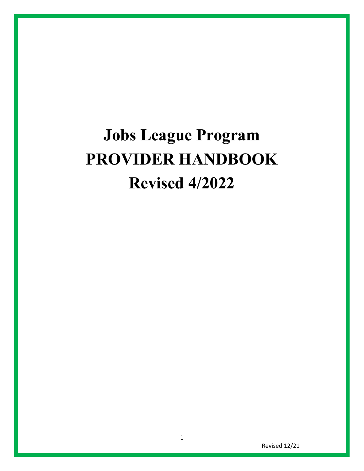# **Jobs League Program PROVIDER HANDBOOK Revised 4/2022**

Revised 12/21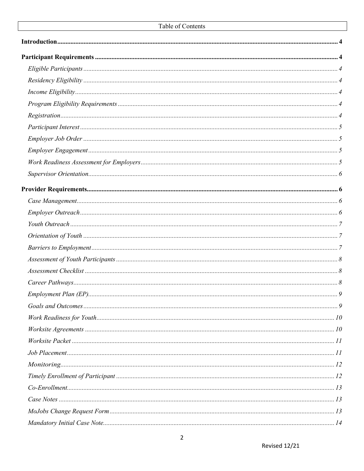| Region. 4 |  |
|-----------|--|
|           |  |
|           |  |
|           |  |
|           |  |
|           |  |
|           |  |
|           |  |
|           |  |
|           |  |
|           |  |
|           |  |
|           |  |
|           |  |
|           |  |
|           |  |
|           |  |
|           |  |
|           |  |
|           |  |
|           |  |
|           |  |
|           |  |
|           |  |
|           |  |
|           |  |
|           |  |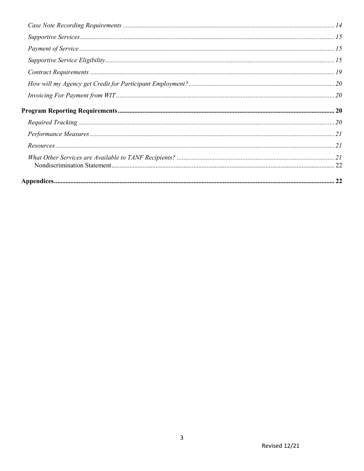| $\emph{Required Tracking }{\small\textrm{.}}20$ |  |
|-------------------------------------------------|--|
|                                                 |  |
|                                                 |  |
|                                                 |  |
|                                                 |  |
|                                                 |  |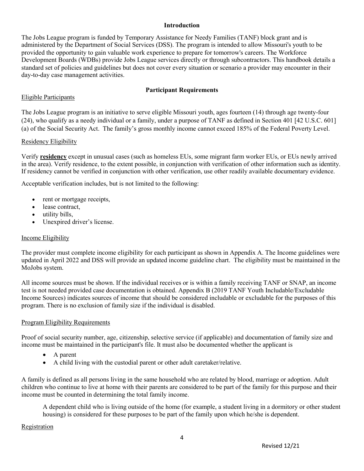#### **Introduction**

<span id="page-3-0"></span>The Jobs League program is funded by Temporary Assistance for Needy Families (TANF) block grant and is administered by the Department of Social Services (DSS). The program is intended to allow Missouri's youth to be provided the opportunity to gain valuable work experience to prepare for tomorrow's careers. The Workforce Development Boards (WDBs) provide Jobs League services directly or through subcontractors. This handbook details a standard set of policies and guidelines but does not cover every situation or scenario a provider may encounter in their day-to-day case management activities.

#### **Participant Requirements**

#### <span id="page-3-2"></span><span id="page-3-1"></span>Eligible Participants

The Jobs League program is an initiative to serve eligible Missouri youth, ages fourteen (14) through age twenty-four (24), who qualify as a needy individual or a family, under a purpose of TANF as defined in Section 401 [42 U.S.C. 601] (a) of the Social Security Act. The family's gross monthly income cannot exceed 185% of the Federal Poverty Level.

#### <span id="page-3-3"></span>Residency Eligibility

Verify **[residency](https://dssmanuals.mo.gov/food-stamps/1100-000-00/1105-000-00/1105-005-00/)** except in unusual cases (such as homeless EUs, some migrant farm worker EUs, or EUs newly arrived in the area). Verify residence, to the extent possible, in conjunction with verification of other information such as identity. If residency cannot be verified in conjunction with other verification, use other readily available documentary evidence.

Acceptable verification includes, but is not limited to the following:

- rent or mortgage receipts,
- lease contract,
- utility bills,
- Unexpired driver's license.

#### <span id="page-3-4"></span>Income Eligibility

The provider must complete income eligibility for each participant as shown in Appendix A. The Income guidelines were updated in April 2022 and DSS will provide an updated income guideline [chart.](https://dssmanuals.mo.gov/wp-content/uploads/2019/03/appendix-d.pdf) The eligibility must be maintained in the MoJobs system.

All income sources must be shown. If the individual receives or is within a family receiving TANF or SNAP, an income test is not needed provided case documentation is obtained. Appendix B (2019 TANF Youth Includable/Excludable Income Sources) indicates sources of income that should be considered includable or excludable for the purposes of this program. There is no exclusion of family size if the individual is disabled.

#### <span id="page-3-5"></span>Program Eligibility Requirements

Proof of social security number, age, citizenship, selective service (if applicable) and documentation of family size and income must be maintained in the participant's file. It must also be documented whether the applicant is

- A parent
- A child living with the custodial parent or other adult caretaker/relative.

A family is defined as all persons living in the same household who are related by blood, marriage or adoption. Adult children who continue to live at home with their parents are considered to be part of the family for this purpose and their income must be counted in determining the total family income.

A dependent child who is living outside of the home (for example, a student living in a dormitory or other student housing) is considered for these purposes to be part of the family upon which he/she is dependent.

#### <span id="page-3-6"></span>Registration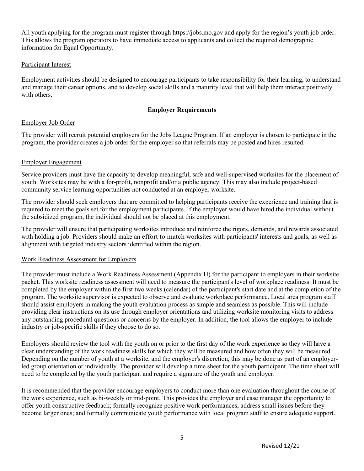All youth applying for the program must register through [https://jobs.mo.gov](https://jobs.mo.gov/) and apply for the region's youth job order. This allows the program operators to have immediate access to applicants and collect the required demographic information for Equal Opportunity.

#### <span id="page-4-0"></span>Participant Interest

Employment activities should be designed to encourage participants to take responsibility for their learning, to understand and manage their career options, and to develop social skills and a maturity level that will help them interact positively with others.

#### **Employer Requirements**

#### <span id="page-4-1"></span>Employer Job Order

The provider will recruit potential employers for the Jobs League Program. If an employer is chosen to participate in the program, the provider creates a job order for the employer so that referrals may be posted and hires resulted.

#### <span id="page-4-2"></span>Employer Engagement

Service providers must have the capacity to develop meaningful, safe and well-supervised worksites for the placement of youth. Worksites may be with a for-profit, nonprofit and/or a public agency. This may also include project-based community service learning opportunities not conducted at an employer worksite.

The provider should seek employers that are committed to helping participants receive the experience and training that is required to meet the goals set for the employment participants. If the employer would have hired the individual without the subsidized program, the individual should not be placed at this employment.

The provider will ensure that participating worksites introduce and reinforce the rigors, demands, and rewards associated with holding a job. Providers should make an effort to match worksites with participants' interests and goals, as well as alignment with targeted industry sectors identified within the region.

#### <span id="page-4-3"></span>Work Readiness Assessment for Employers

The provider must include a Work Readiness Assessment (Appendix H) for the participant to employers in their worksite packet. This worksite readiness assessment will need to measure the participant's level of workplace readiness. It must be completed by the employer within the first two weeks (calendar) of the participant's start date and at the completion of the program. The worksite supervisor is expected to observe and evaluate workplace performance. Local area program staff should assist employers in making the youth evaluation process as simple and seamless as possible. This will include providing clear instructions on its use through employer orientations and utilizing worksite monitoring visits to address any outstanding procedural questions or concerns by the employer. In addition, the tool allows the employer to include industry or job-specific skills if they choose to do so.

Employers should review the tool with the youth on or prior to the first day of the work experience so they will have a clear understanding of the work readiness skills for which they will be measured and how often they will be measured. Depending on the number of youth at a worksite, and the employer's discretion, this may be done as part of an employerled group orientation or individually. The provider will develop a time sheet for the youth participant. The time sheet will need to be completed by the youth participant and require a signature of the youth and employer.

It is recommended that the provider encourage employers to conduct more than one evaluation throughout the course of the work experience, such as bi-weekly or mid-point. This provides the employer and case manager the opportunity to offer youth constructive feedback; formally recognize positive work performances; address small issues before they become larger ones; and formally communicate youth performance with local program staff to ensure adequate support.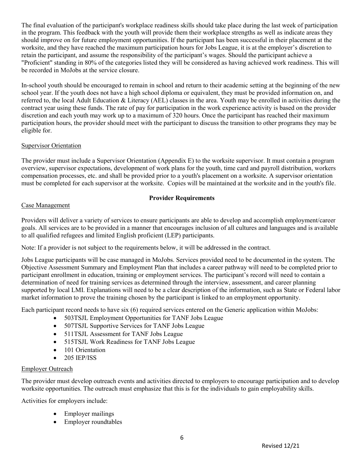The final evaluation of the participant's workplace readiness skills should take place during the last week of participation in the program. This feedback with the youth will provide them their workplace strengths as well as indicate areas they should improve on for future employment opportunities. If the participant has been successful in their placement at the worksite, and they have reached the maximum participation hours for Jobs League, it is at the employer's discretion to retain the participant, and assume the responsibility of the participant's wages. Should the participant achieve a "Proficient" standing in 80% of the categories listed they will be considered as having achieved work readiness. This will be recorded in MoJobs at the service closure.

In-school youth should be encouraged to remain in school and return to their academic setting at the beginning of the new school year. If the youth does not have a high school diploma or equivalent, they must be provided information on, and referred to, the local Adult Education & Literacy (AEL) classes in the area. Youth may be enrolled in activities during the contract year using these funds. The rate of pay for participation in the work experience activity is based on the provider discretion and each youth may work up to a maximum of 320 hours. Once the participant has reached their maximum participation hours, the provider should meet with the participant to discuss the transition to other programs they may be eligible for.

## <span id="page-5-0"></span>Supervisor Orientation

The provider must include a Supervisor Orientation (Appendix E) to the worksite supervisor. It must contain a program overview, supervisor expectations, development of work plans for the youth, time card and payroll distribution, workers compensation processes, etc. and shall be provided prior to a youth's placement on a worksite. A supervisor orientation must be completed for each supervisor at the worksite. Copies will be maintained at the worksite and in the youth's file.

## **Provider Requirements**

## <span id="page-5-2"></span><span id="page-5-1"></span>Case Management

Providers will deliver a variety of services to ensure participants are able to develop and accomplish employment/career goals. All services are to be provided in a manner that encourages inclusion of all cultures and languages and is available to all qualified refugees and limited English proficient (LEP) participants.

Note: If a provider is not subject to the requirements below, it will be addressed in the contract.

Jobs League participants will be case managed in MoJobs. Services provided need to be documented in the system. The Objective Assessment Summary and Employment Plan that includes a career pathway will need to be completed prior to participant enrollment in education, training or employment services. The participant's record will need to contain a determination of need for training services as determined through the interview, assessment, and career planning supported by local LMI. Explanations will need to be a clear description of the information, such as State or Federal labor market information to prove the training chosen by the participant is linked to an employment opportunity.

Each participant record needs to have six (6) required services entered on the Generic application within MoJobs:

- 503TSJL Employment Opportunities for TANF Jobs League
- 507TSJL Supportive Services for TANF Jobs League
- 511TSJL Assessment for TANF Jobs League
- 515TSJL Work Readiness for TANF Jobs League
- 101 Orientation
- 205 IEP/ISS

#### <span id="page-5-3"></span>Employer Outreach

The provider must develop outreach events and activities directed to employers to encourage participation and to develop worksite opportunities. The outreach must emphasize that this is for the individuals to gain employability skills.

Activities for employers include:

- Employer mailings
- Employer roundtables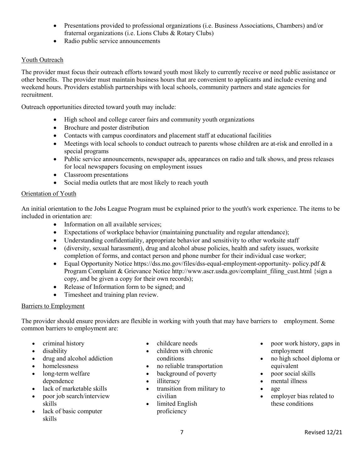- Presentations provided to professional organizations (i.e. Business Associations, Chambers) and/or fraternal organizations (i.e. Lions Clubs & Rotary Clubs)
- Radio public service announcements

## <span id="page-6-0"></span>Youth Outreach

The provider must focus their outreach efforts toward youth most likely to currently receive or need public assistance or other benefits. The provider must maintain business hours that are convenient to applicants and include evening and weekend hours. Providers establish partnerships with local schools, community partners and state agencies for recruitment.

Outreach opportunities directed toward youth may include:

- High school and college career fairs and community youth organizations
- Brochure and poster distribution
- Contacts with campus coordinators and placement staff at educational facilities
- Meetings with local schools to conduct outreach to parents whose children are at-risk and enrolled in a special programs
- Public service announcements, newspaper ads, appearances on radio and talk shows, and press releases for local newspapers focusing on employment issues
- Classroom presentations
- Social media outlets that are most likely to reach youth

## <span id="page-6-1"></span>Orientation of Youth

An initial orientation to the Jobs League Program must be explained prior to the youth's work experience. The items to be included in orientation are:

- Information on all available services;
- Expectations of workplace behavior (maintaining punctuality and regular attendance);
- Understanding confidentiality, appropriate behavior and sensitivity to other worksite staff
- (diversity, sexual harassment), drug and alcohol abuse policies, health and safety issues, worksite completion of forms, and contact person and phone number for their individual case worker;
- Equal Opportunity Notice [https://dss.mo.gov/files/dss-equal-employment-opportunity-](https://dss.mo.gov/files/dss-equal-employment-opportunity-%20policy.pdf)policy.pdf & Program Complaint & Grievance Notice http://www.ascr.usda.gov/complaint\_filing\_cust.html {sign a copy, and be given a copy for their own records);
- Release of Information form to be signed; and
- Timesheet and training plan review.

## <span id="page-6-2"></span>Barriers to Employment

The provider should ensure providers are flexible in working with youth that may have barriers to employment. Some common barriers to employment are:

- criminal history
- disability
- drug and alcohol addiction
- homelessness
- long-term welfare dependence
- lack of marketable skills
- poor job search/interview skills
- lack of basic computer skills
- childcare needs
- children with chronic conditions
- no reliable transportation
- background of poverty
- illiteracy
- transition from military to civilian
- limited English proficiency
- poor work history, gaps in employment
- no high school diploma or equivalent
- poor social skills
- mental illness
- age
- employer bias related to these conditions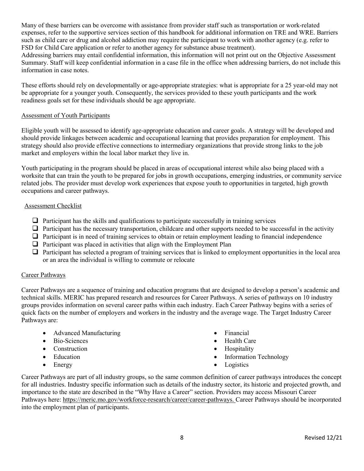Many of these barriers can be overcome with assistance from provider staff such as transportation or work-related expenses, refer to the supportive services section of this handbook for additional information on TRE and WRE. Barriers such as child care or drug and alcohol addiction may require the participant to work with another agency (e.g. refer to FSD for Child Care application or refer to another agency for substance abuse treatment).

Addressing barriers may entail confidential information, this information will not print out on the Objective Assessment Summary. Staff will keep confidential information in a case file in the office when addressing barriers, do not include this information in case notes.

These efforts should rely on developmentally or age-appropriate strategies: what is appropriate for a 25 year-old may not be appropriate for a younger youth. Consequently, the services provided to these youth participants and the work readiness goals set for these individuals should be age appropriate.

#### <span id="page-7-0"></span>Assessment of Youth Participants

Eligible youth will be assessed to identify age-appropriate education and career goals. A strategy will be developed and should provide linkages between academic and occupational learning that provides preparation for employment. This strategy should also provide effective connections to intermediary organizations that provide strong links to the job market and employers within the local labor market they live in.

Youth participating in the program should be placed in areas of occupational interest while also being placed with a worksite that can train the youth to be prepared for jobs in growth occupations, emerging industries, or community service related jobs. The provider must develop work experiences that expose youth to opportunities in targeted, high growth occupations and career pathways.

#### <span id="page-7-1"></span>Assessment Checklist

- $\Box$  Participant has the skills and qualifications to participate successfully in training services
- $\Box$  Participant has the necessary transportation, childcare and other supports needed to be successful in the activity
- $\Box$  Participant is in need of training services to obtain or retain employment leading to financial independence
- $\Box$  Participant was placed in activities that align with the Employment Plan
- $\Box$  Participant has selected a program of training services that is linked to employment opportunities in the local area or an area the individual is willing to commute or relocate

#### <span id="page-7-2"></span>Career Pathways

Career Pathways are a sequence of training and education programs that are designed to develop a person's academic and technical skills. MERIC has prepared research and resources for Career Pathways. A series of pathways on 10 industry groups provides information on several career paths within each industry. Each Career Pathway begins with a series of quick facts on the number of employers and workers in the industry and the average wage. The Target Industry Career Pathways are:

- Advanced Manufacturing
- Bio-Sciences
- Construction
- Education
- Energy
- Financial
- Health Care
- Hospitality
- Information Technology
- **Logistics**

Career Pathways are part of all industry groups, so the same common definition of career pathways introduces the concept for all industries. Industry specific information such as details of the industry sector, its historic and projected growth, and importance to the state are described in the "Why Have a Career" section. Providers may access Missouri Career Pathways here[: https://meric.mo.gov/workforce-research/career/career-pathways.](https://meric.mo.gov/workforce-research/career/career-pathways) Career Pathways should be incorporated into the employment plan of participants.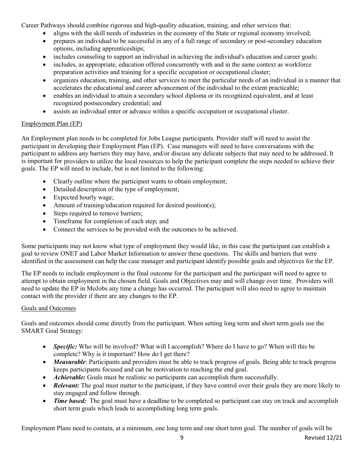Career Pathways should combine rigorous and high-quality education, training, and other services that:

- aligns with the skill needs of industries in the economy of the State or regional economy involved;
- prepares an individual to be successful in any of a full range of secondary or post-secondary education options, including apprenticeships;
- includes counseling to support an individual in achieving the individual's education and career goals;
- includes, as appropriate, education offered concurrently with and in the same context as workforce preparation activities and training for a specific occupation or occupational cluster;
- organizes education, training, and other services to meet the particular needs of an individual in a manner that accelerates the educational and career advancement of the individual to the extent practicable;
- enables an individual to attain a secondary school diploma or its recognized equivalent, and at least recognized postsecondary credential; and
- assists an individual enter or advance within a specific occupation or occupational cluster.

# <span id="page-8-0"></span>Employment Plan (EP)

An Employment plan needs to be completed for Jobs League participants. Provider staff will need to assist the participant in developing their Employment Plan (EP). Case managers will need to have conversations with the participant to address any barriers they may have, and/or discuss any delicate subjects that may need to be addressed. It is important for providers to utilize the local resources to help the participant complete the steps needed to achieve their goals. The EP will need to include, but is not limited to the following:

- Clearly outline where the participant wants to obtain employment;
- Detailed description of the type of employment;
- Expected hourly wage;
- Amount of training/education required for desired position(s);
- Steps required to remove barriers;
- Timeframe for completion of each step; and
- Connect the services to be provided with the outcomes to be achieved.

Some participants may not know what type of employment they would like, in this case the participant can establish a goal to review ONET and Labor Market Information to answer these questions. The skills and barriers that were identified in the assessment can help the case manager and participant identify possible goals and objectives for the EP.

The EP needs to include employment is the final outcome for the participant and the participant will need to agree to attempt to obtain employment in the chosen field. Goals and Objectives may and will change over time. Providers will need to update the EP in MoJobs any time a change has occurred. The participant will also need to agree to maintain contact with the provider if there are any changes to the EP.

## <span id="page-8-1"></span>Goals and Outcomes

Goals and outcomes should come directly from the participant. When setting long term and short term goals use the SMART Goal Strategy:

- *Specific:* Who will be involved? What will I accomplish? Where do I have to go? When will this be complete? Why is it important? How do I get there?
- *Measurable*: Participants and providers must be able to track progress of goals. Being able to track progress keeps participants focused and can be motivation to reaching the end goal.
- *Achievable:* Goals must be realistic so participants can accomplish them successfully.
- *Relevant:* The goal must matter to the participant, if they have control over their goals they are more likely to stay engaged and follow through.
- *Time based:* The goal must have a deadline to be completed so participant can stay on track and accomplish short term goals which leads to accomplishing long term goals.

Employment Plans need to contain, at a minimum, one long term and one short term goal. The number of goals will be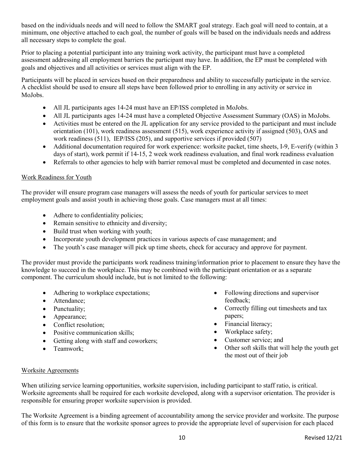based on the individuals needs and will need to follow the SMART goal strategy. Each goal will need to contain, at a minimum, one objective attached to each goal, the number of goals will be based on the individuals needs and address all necessary steps to complete the goal.

Prior to placing a potential participant into any training work activity, the participant must have a completed assessment addressing all employment barriers the participant may have. In addition, the EP must be completed with goals and objectives and all activities or services must align with the EP.

Participants will be placed in services based on their preparedness and ability to successfully participate in the service. A checklist should be used to ensure all steps have been followed prior to enrolling in any activity or service in MoJobs.

- All JL participants ages 14-24 must have an EP/ISS completed in MoJobs.
- All JL participants ages 14-24 must have a completed Objective Assessment Summary (OAS) in MoJobs.
- Activities must be entered on the JL application for any service provided to the participant and must include orientation (101), work readiness assessment (515), work experience activity if assigned (503), OAS and work readiness (511), IEP/ISS (205), and supportive services if provided (507)
- Additional documentation required for work experience: worksite packet, time sheets, I-9, E-verify (within 3 days of start), work permit if 14-15, 2 week work readiness evaluation, and final work readiness evaluation
- Referrals to other agencies to help with barrier removal must be completed and documented in case notes.

#### <span id="page-9-0"></span>Work Readiness for Youth

The provider will ensure program case managers will assess the needs of youth for particular services to meet employment goals and assist youth in achieving those goals. Case managers must at all times:

- Adhere to confidentiality policies;
- Remain sensitive to ethnicity and diversity;
- Build trust when working with youth;
- Incorporate youth development practices in various aspects of case management; and
- The youth's case manager will pick up time sheets, check for accuracy and approve for payment.

The provider must provide the participants work readiness training/information prior to placement to ensure they have the knowledge to succeed in the workplace. This may be combined with the participant orientation or as a separate component. The curriculum should include, but is not limited to the following:

- Adhering to workplace expectations;
- Attendance;
- Punctuality;
- Appearance;
- Conflict resolution:
- Positive communication skills;
- Getting along with staff and coworkers;
- Teamwork:
- Following directions and supervisor feedback;
- Correctly filling out timesheets and tax papers;
- Financial literacy;
- Workplace safety;
- Customer service; and
- Other soft skills that will help the youth get the most out of their job

## <span id="page-9-1"></span>Worksite Agreements

When utilizing service learning opportunities, worksite supervision, including participant to staff ratio, is critical. Worksite agreements shall be required for each worksite developed, along with a supervisor orientation. The provider is responsible for ensuring proper worksite supervision is provided.

The Worksite Agreement is a binding agreement of accountability among the service provider and worksite. The purpose of this form is to ensure that the worksite sponsor agrees to provide the appropriate level of supervision for each placed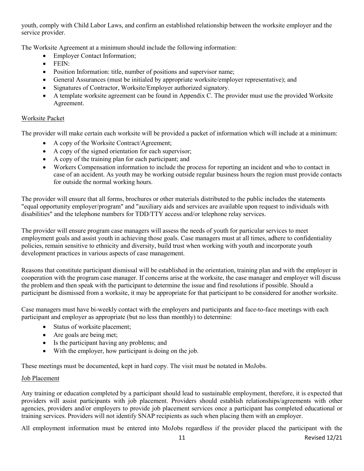youth, comply with Child Labor Laws, and confirm an established relationship between the worksite employer and the service provider.

The Worksite Agreement at a minimum should include the following information:

- **Employer Contact Information;**
- FEIN:
- Position Information: title, number of positions and supervisor name;
- General Assurances (must be initialed by appropriate worksite/employer representative); and
- Signatures of Contractor, Worksite/Employer authorized signatory.
- A template worksite agreement can be found in Appendix C. The provider must use the provided Worksite Agreement.

#### <span id="page-10-0"></span>Worksite Packet

The provider will make certain each worksite will be provided a packet of information which will include at a minimum:

- A copy of the Worksite Contract/Agreement;
- A copy of the signed orientation for each supervisor;
- A copy of the training plan for each participant; and
- Workers Compensation information to include the process for reporting an incident and who to contact in case of an accident. As youth may be working outside regular business hours the region must provide contacts for outside the normal working hours.

The provider will ensure that all forms, brochures or other materials distributed to the public includes the statements "equal opportunity employer/program" and "auxiliary aids and services are available upon request to individuals with disabilities" and the telephone numbers for TDD/TTY access and/or telephone relay services.

The provider will ensure program case managers will assess the needs of youth for particular services to meet employment goals and assist youth in achieving those goals. Case managers must at all times, adhere to confidentiality policies, remain sensitive to ethnicity and diversity, build trust when working with youth and incorporate youth development practices in various aspects of case management.

Reasons that constitute participant dismissal will be established in the orientation, training plan and with the employer in cooperation with the program case manager. If concerns arise at the worksite, the case manager and employer will discuss the problem and then speak with the participant to determine the issue and find resolutions if possible. Should a participant be dismissed from a worksite, it may be appropriate for that participant to be considered for another worksite.

Case managers must have bi-weekly contact with the employers and participants and face-to-face meetings with each participant and employer as appropriate (but no less than monthly) to determine:

- Status of worksite placement;
- Are goals are being met;
- Is the participant having any problems; and
- With the employer, how participant is doing on the job.

These meetings must be documented, kept in hard copy. The visit must be notated in MoJobs.

#### <span id="page-10-1"></span>Job Placement

Any training or education completed by a participant should lead to sustainable employment, therefore, it is expected that providers will assist participants with job placement. Providers should establish relationships/agreements with other agencies, providers and/or employers to provide job placement services once a participant has completed educational or training services. Providers will not identify SNAP recipients as such when placing them with an employer.

All employment information must be entered into MoJobs regardless if the provider placed the participant with the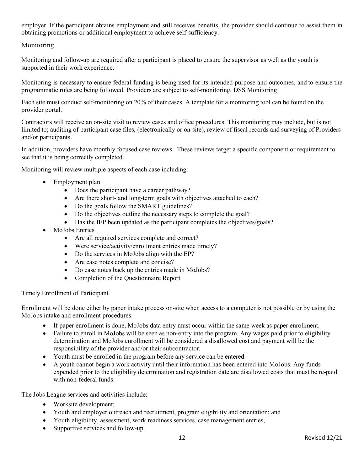employer. If the participant obtains employment and still receives benefits, the provider should continue to assist them in obtaining promotions or additional employment to achieve self-sufficiency.

## <span id="page-11-0"></span>Monitoring

Monitoring and follow-up are required after a participant is placed to ensure the supervisor as well as the youth is supported in their work experience.

Monitoring is necessary to ensure federal funding is being used for its intended purpose and outcomes, and to ensure the programmatic rules are being followed. Providers are subject to self-monitoring, DSS Monitoring

Each site must conduct self-monitoring on 20% of their cases. A template for a monitoring tool can be found on the [provider portal.](https://dss.mo.gov/skillup-provider-portal/)

Contractors will receive an on-site visit to review cases and office procedures. This monitoring may include, but is not limited to; auditing of participant case files, (electronically or on-site), review of fiscal records and surveying of Providers and/or participants.

In addition, providers have monthly focused case reviews. These reviews target a specific component or requirement to see that it is being correctly completed.

Monitoring will review multiple aspects of each case including:

- Employment plan
	- Does the participant have a career pathway?
	- Are there short- and long-term goals with objectives attached to each?
	- Do the goals follow the SMART guidelines?
	- Do the objectives outline the necessary steps to complete the goal?
	- Has the IEP been updated as the participant completes the objectives/goals?
- MoJobs Entries
	- Are all required services complete and correct?
	- Were service/activity/enrollment entries made timely?
	- Do the services in MoJobs align with the EP?
	- Are case notes complete and concise?
	- Do case notes back up the entries made in MoJobs?
	- Completion of the Questionnaire Report

## <span id="page-11-1"></span>Timely Enrollment of Participant

Enrollment will be done either by paper intake process on-site when access to a computer is not possible or by using the MoJobs intake and enrollment procedures.

- If paper enrollment is done, MoJobs data entry must occur within the same week as paper enrollment.
- Failure to enroll in MoJobs will be seen as non-entry into the program. Any wages paid prior to eligibility determination and MoJobs enrollment will be considered a disallowed cost and payment will be the responsibility of the provider and/or their subcontractor.
- Youth must be enrolled in the program before any service can be entered.
- A youth cannot begin a work activity until their information has been entered into MoJobs. Any funds expended prior to the eligibility determination and registration date are disallowed costs that must be re-paid with non-federal funds.

The Jobs League services and activities include:

- Worksite development;
- Youth and employer outreach and recruitment, program eligibility and orientation; and
- Youth eligibility, assessment, work readiness services, case management entries,
- Supportive services and follow-up.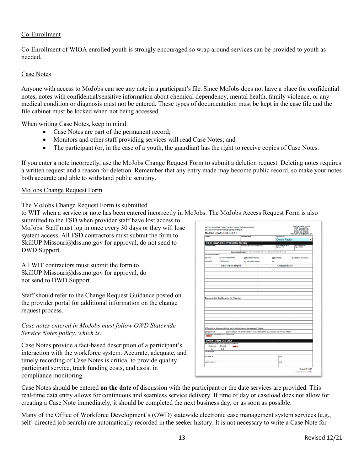## <span id="page-12-0"></span>Co-Enrollment

Co-Enrollment of WIOA enrolled youth is strongly encouraged so wrap around services can be provided to youth as needed.

## <span id="page-12-1"></span>Case Notes

Anyone with access to MoJobs can see any note in a participant's file. Since MoJobs does not have a place for confidential notes, notes with confidential/sensitive information about chemical dependency, mental health, family violence, or any medical condition or diagnosis must not be entered. These types of documentation must be kept in the case file and the file cabinet must be locked when not being accessed.

When writing Case Notes, keep in mind:

- Case Notes are part of the permanent record;
- Monitors and other staff providing services will read Case Notes; and
- The participant (or, in the case of a youth, the guardian) has the right to receive copies of Case Notes.

If you enter a note incorrectly, use the MoJobs Change Request Form to submit a deletion request. Deleting notes requires a written request and a reason for deletion. Remember that any entry made may become public record, so make your notes both accurate and able to withstand public scrutiny.

#### <span id="page-12-2"></span>MoJobs Change Request Form

The MoJobs Change Request Form is submitted

to WIT when a service or note has been entered incorrectly in MoJobs. The MoJobs Access Request Form is also

submitted to the FSD when provider staff have lost access to MoJobs. Staff must log in once every 30 days or they will lose system access. All FSD contractors must submit the form to SkillUP.Missouri@dss.mo.gov for approval, do not send to DWD Support.

All WIT contractors must submit the form to [SkillUP.Missouri@dss.mo.gov](mailto:SkillUP.Missouri@dss.mo.gov) for approval, do not send to DWD Support.

Staff should refer to the Change Request Guidance posted on the provider portal for additional information on the change request process.

#### *Case notes entered in MoJobs must follow OWD Statewide Service Notes policy, which is:*

Case Notes provide a fact-based description of a participant's interaction with the workforce system. Accurate, adequate, and timely recording of Case Notes is critical to provide quality participant service, track funding costs, and assist in compliance monitoring.

|                      | MISSOURI DEPARTMENT OF ECONOMIC DEVELOPMENT<br>DIVISION OF WORKFORCE DEVELOPMENT<br><b>MoJobs CHANGE REQUEST</b> |                                                                                               |                                       | Send completed form to:<br>DWD Central Office<br>by fax: 573-751-3461<br>or scan and email to: |
|----------------------|------------------------------------------------------------------------------------------------------------------|-----------------------------------------------------------------------------------------------|---------------------------------------|------------------------------------------------------------------------------------------------|
| Program              |                                                                                                                  | Councelor Name                                                                                | Looation/WIR                          | thchangerequestiftided.mo.gov                                                                  |
|                      |                                                                                                                  |                                                                                               |                                       | <b>Central Region</b>                                                                          |
|                      | TO BE COMPLETED BY SENDING AGENCY                                                                                |                                                                                               |                                       |                                                                                                |
| <b>Customer Name</b> |                                                                                                                  | Counselor Phone Number/Extension                                                              | Dood State ID/Last 4<br>Digits of 55N | <b>Bad State ID Last 4</b><br>Digits of <b>SSN</b>                                             |
|                      |                                                                                                                  | Do not include full SSN. You will be contacted by phone for additional Information if needed. |                                       |                                                                                                |
| DATA TO BE CHANGED   |                                                                                                                  |                                                                                               |                                       |                                                                                                |
| <b>D</b> SSN         | □ Case Note Delete                                                                                               | <b>D</b> Enrollment Date                                                                      | □ Backdate                            | <b>DAdd/Edit a Service</b>                                                                     |
| <b>D</b> Unexit      | <b>DOutcome</b>                                                                                                  | <b>DTREWRE Hours</b>                                                                          | $\Box$                                |                                                                                                |
|                      | Data To Be Changed:                                                                                              |                                                                                               |                                       | <b>Change Data To:</b>                                                                         |
|                      |                                                                                                                  |                                                                                               |                                       |                                                                                                |
|                      |                                                                                                                  |                                                                                               |                                       |                                                                                                |
|                      |                                                                                                                  |                                                                                               |                                       |                                                                                                |
|                      |                                                                                                                  |                                                                                               |                                       |                                                                                                |
|                      |                                                                                                                  |                                                                                               |                                       |                                                                                                |
|                      |                                                                                                                  |                                                                                               |                                       |                                                                                                |
|                      |                                                                                                                  |                                                                                               |                                       |                                                                                                |
|                      |                                                                                                                  |                                                                                               |                                       |                                                                                                |
|                      |                                                                                                                  |                                                                                               |                                       |                                                                                                |
|                      |                                                                                                                  |                                                                                               |                                       |                                                                                                |
|                      | <b>Documented Justification for Change:</b>                                                                      |                                                                                               |                                       |                                                                                                |
|                      |                                                                                                                  |                                                                                               |                                       |                                                                                                |
|                      |                                                                                                                  |                                                                                               |                                       |                                                                                                |
|                      |                                                                                                                  |                                                                                               |                                       |                                                                                                |
|                      |                                                                                                                  |                                                                                               |                                       |                                                                                                |
|                      |                                                                                                                  |                                                                                               |                                       |                                                                                                |
|                      |                                                                                                                  |                                                                                               |                                       |                                                                                                |
|                      |                                                                                                                  |                                                                                               |                                       |                                                                                                |
|                      |                                                                                                                  |                                                                                               |                                       |                                                                                                |
|                      |                                                                                                                  |                                                                                               |                                       |                                                                                                |
|                      |                                                                                                                  | [ Functional Manager or local authorized designee has reviewed Name:                          |                                       |                                                                                                |
| <b>D</b> Approved    |                                                                                                                  | D Denied (Do not forward denied requests to DWD but keep on file in local office)             |                                       |                                                                                                |
|                      | AUTHORIZED REPRESENTATIVE'S SIGNATURE                                                                            |                                                                                               |                                       |                                                                                                |
|                      |                                                                                                                  |                                                                                               |                                       |                                                                                                |
|                      | <b>DWD INTERNAL USE ONLY</b>                                                                                     |                                                                                               |                                       |                                                                                                |
|                      | PROGRAMMATIC SECTION AUTHORIZED SIGNATURE<br>Denied                                                              |                                                                                               |                                       |                                                                                                |
| Approved<br>□        | man 3<br>□                                                                                                       |                                                                                               |                                       |                                                                                                |
| OPC NUMBER:          |                                                                                                                  |                                                                                               |                                       |                                                                                                |
|                      |                                                                                                                  |                                                                                               |                                       |                                                                                                |
| CHANGED BY           |                                                                                                                  |                                                                                               | DATE                                  |                                                                                                |
|                      |                                                                                                                  |                                                                                               |                                       |                                                                                                |
| NOTIFICATION BY      |                                                                                                                  |                                                                                               | DATE                                  |                                                                                                |
|                      |                                                                                                                  |                                                                                               |                                       | Updated 10/4/2017                                                                              |

Case Notes should be entered **on the date** of discussion with the participant or the date services are provided. This real-time data entry allows for continuous and seamless service delivery. If time of day or caseload does not allow for creating a Case Note immediately, it should be completed the next business day, or as soon as possible.

Many of the Office of Workforce Development's (OWD) statewide electronic case management system services (e.g., self- directed job search) are automatically recorded in the seeker history. It is not necessary to write a Case Note for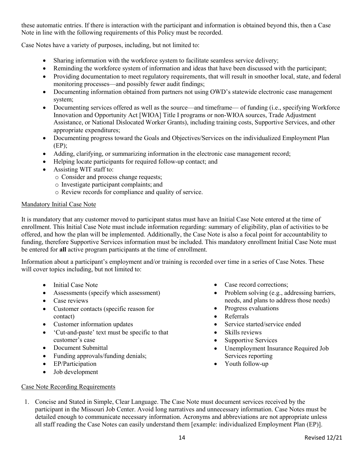these automatic entries. If there is interaction with the participant and information is obtained beyond this, then a Case Note in line with the following requirements of this Policy must be recorded.

Case Notes have a variety of purposes, including, but not limited to:

- Sharing information with the workforce system to facilitate seamless service delivery;
- Reminding the workforce system of information and ideas that have been discussed with the participant;
- Providing documentation to meet regulatory requirements, that will result in smoother local, state, and federal monitoring processes—and possibly fewer audit findings;
- Documenting information obtained from partners not using OWD's statewide electronic case management system;
- Documenting services offered as well as the source—and timeframe— of funding (i.e., specifying Workforce Innovation and Opportunity Act [WIOA] Title I programs or non-WIOA sources, Trade Adjustment Assistance, or National Dislocated Worker Grants), including training costs, Supportive Services, and other appropriate expenditures;
- Documenting progress toward the Goals and Objectives/Services on the individualized Employment Plan (EP);
- Adding, clarifying, or summarizing information in the electronic case management record;
- Helping locate participants for required follow-up contact; and
- Assisting WIT staff to:
	- o Consider and process change requests;
	- o Investigate participant complaints; and
	- o Review records for compliance and quality of service.

#### <span id="page-13-0"></span>Mandatory Initial Case Note

It is mandatory that any customer moved to participant status must have an Initial Case Note entered at the time of enrollment. This Initial Case Note must include information regarding: summary of eligibility, plan of activities to be offered, and how the plan will be implemented. Additionally, the Case Note is also a focal point for accountability to funding, therefore Supportive Services information must be included. This mandatory enrollment Initial Case Note must be entered for **all** active program participants at the time of enrollment.

Information about a participant's employment and/or training is recorded over time in a series of Case Notes. These will cover topics including, but not limited to:

- Initial Case Note
- Assessments (specify which assessment)
- Case reviews
- Customer contacts (specific reason for contact)
- Customer information updates
- 'Cut-and-paste' text must be specific to that customer's case
- Document Submittal
- Funding approvals/funding denials;
- EP/Participation
- Job development
- Case record corrections;
- Problem solving (e.g., addressing barriers, needs, and plans to address those needs)
- Progress evaluations
- Referrals
- Service started/service ended
- Skills reviews
- Supportive Services
- Unemployment Insurance Required Job Services reporting
- Youth follow-up

- <span id="page-13-1"></span>Case Note Recording Requirements
- 1. Concise and Stated in Simple, Clear Language. The Case Note must document services received by the participant in the Missouri Job Center. Avoid long narratives and unnecessary information. Case Notes must be detailed enough to communicate necessary information. Acronyms and abbreviations are not appropriate unless all staff reading the Case Notes can easily understand them [example: individualized Employment Plan (EP)].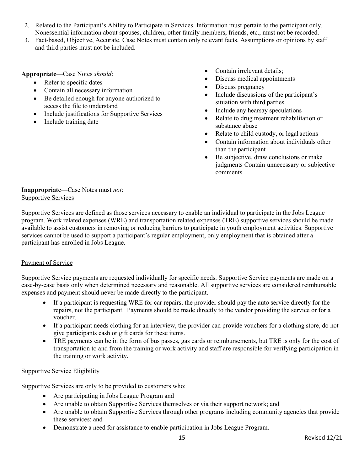- 2. Related to the Participant's Ability to Participate in Services. Information must pertain to the participant only. Nonessential information about spouses, children, other family members, friends, etc., must not be recorded.
- 3. Fact-based, Objective, Accurate. Case Notes must contain only relevant facts. Assumptions or opinions by staff and third parties must not be included.

#### **Appropriate**—Case Notes *should*:

- Refer to specific dates
- Contain all necessary information
- Be detailed enough for anyone authorized to access the file to understand
- Include justifications for Supportive Services
- Include training date
- Contain irrelevant details:
- Discuss medical appointments
- Discuss pregnancy
- Include discussions of the participant's situation with third parties
- Include any hearsay speculations
- Relate to drug treatment rehabilitation or substance abuse
- Relate to child custody, or legal actions
- Contain information about individuals other than the participant
- Be subjective, draw conclusions or make judgments Contain unnecessary or subjective comments

## <span id="page-14-0"></span>**Inappropriate**—Case Notes must *not*: Supportive Services

Supportive Services are defined as those services necessary to enable an individual to participate in the Jobs League program. Work related expenses (WRE) and transportation related expenses (TRE) supportive services should be made available to assist customers in removing or reducing barriers to participate in youth employment activities. Supportive services cannot be used to support a participant's regular employment, only employment that is obtained after a participant has enrolled in Jobs League.

## <span id="page-14-1"></span>Payment of Service

Supportive Service payments are requested individually for specific needs. Supportive Service payments are made on a case-by-case basis only when determined necessary and reasonable. All supportive services are considered reimbursable expenses and payment should never be made directly to the participant.

- If a participant is requesting WRE for car repairs, the provider should pay the auto service directly for the repairs, not the participant. Payments should be made directly to the vendor providing the service or for a voucher.
- If a participant needs clothing for an interview, the provider can provide vouchers for a clothing store, do not give participants cash or gift cards for these items.
- TRE payments can be in the form of bus passes, gas cards or reimbursements, but TRE is only for the cost of transportation to and from the training or work activity and staff are responsible for verifying participation in the training or work activity.

## <span id="page-14-2"></span>Supportive Service Eligibility

Supportive Services are only to be provided to customers who:

- Are participating in Jobs League Program and
- Are unable to obtain Supportive Services themselves or via their support network; and
- Are unable to obtain Supportive Services through other programs including community agencies that provide these services; and
- Demonstrate a need for assistance to enable participation in Jobs League Program.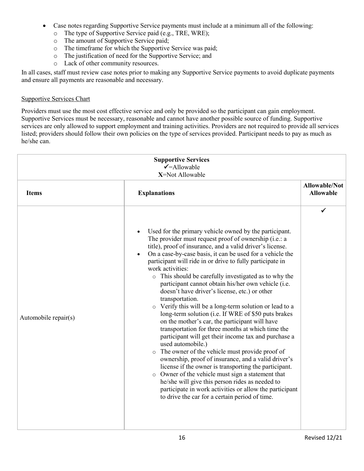- Case notes regarding Supportive Service payments must include at a minimum all of the following:
	- o The type of Supportive Service paid (e.g., TRE, WRE);
	- o The amount of Supportive Service paid;
	- o The timeframe for which the Supportive Service was paid;
	- o The justification of need for the Supportive Service; and
	- o Lack of other community resources.

In all cases, staff must review case notes prior to making any Supportive Service payments to avoid duplicate payments and ensure all payments are reasonable and necessary.

## Supportive Services Chart

Providers must use the most cost effective service and only be provided so the participant can gain employment. Supportive Services must be necessary, reasonable and cannot have another possible source of funding. Supportive services are only allowed to support employment and training activities. Providers are not required to provide all services listed; providers should follow their own policies on the type of services provided. Participant needs to pay as much as he/she can.

| <b>Supportive Services</b><br>$\checkmark$ =Allowable<br>X=Not Allowable |                                                                                                                                                                                                                                                                                                                                                                                                                                                                                                                                                                                                                                                                                                                                                                                                                                                                                                                                                                                                                                                                                                                                                                                                                                         |                                          |
|--------------------------------------------------------------------------|-----------------------------------------------------------------------------------------------------------------------------------------------------------------------------------------------------------------------------------------------------------------------------------------------------------------------------------------------------------------------------------------------------------------------------------------------------------------------------------------------------------------------------------------------------------------------------------------------------------------------------------------------------------------------------------------------------------------------------------------------------------------------------------------------------------------------------------------------------------------------------------------------------------------------------------------------------------------------------------------------------------------------------------------------------------------------------------------------------------------------------------------------------------------------------------------------------------------------------------------|------------------------------------------|
| <b>Items</b>                                                             | <b>Explanations</b>                                                                                                                                                                                                                                                                                                                                                                                                                                                                                                                                                                                                                                                                                                                                                                                                                                                                                                                                                                                                                                                                                                                                                                                                                     | <b>Allowable/Not</b><br><b>Allowable</b> |
| Automobile repair(s)                                                     | Used for the primary vehicle owned by the participant.<br>$\bullet$<br>The provider must request proof of ownership (i.e.: a<br>title), proof of insurance, and a valid driver's license.<br>On a case-by-case basis, it can be used for a vehicle the<br>$\bullet$<br>participant will ride in or drive to fully participate in<br>work activities:<br>o This should be carefully investigated as to why the<br>participant cannot obtain his/her own vehicle (i.e.<br>doesn't have driver's license, etc.) or other<br>transportation.<br>o Verify this will be a long-term solution or lead to a<br>long-term solution (i.e. If WRE of \$50 puts brakes<br>on the mother's car, the participant will have<br>transportation for three months at which time the<br>participant will get their income tax and purchase a<br>used automobile.)<br>o The owner of the vehicle must provide proof of<br>ownership, proof of insurance, and a valid driver's<br>license if the owner is transporting the participant.<br>o Owner of the vehicle must sign a statement that<br>he/she will give this person rides as needed to<br>participate in work activities or allow the participant<br>to drive the car for a certain period of time. | ✓                                        |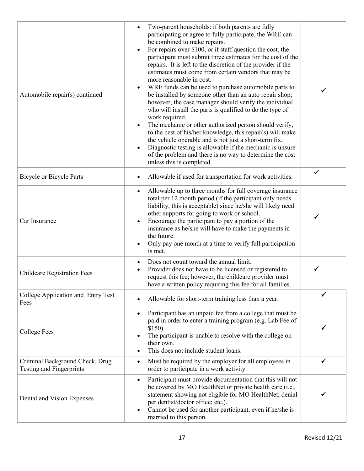| Automobile repair(s) continued                              | Two-parent households: if both parents are fully<br>participating or agree to fully participate, the WRE can<br>be combined to make repairs.<br>For repairs over \$100, or if staff question the cost, the<br>participant must submit three estimates for the cost of the<br>repairs. It is left to the discretion of the provider if the<br>estimates must come from certain vendors that may be<br>more reasonable in cost.<br>WRE funds can be used to purchase automobile parts to<br>$\bullet$<br>be installed by someone other than an auto repair shop;<br>however, the case manager should verify the individual<br>who will install the parts is qualified to do the type of<br>work required.<br>The mechanic or other authorized person should verify,<br>$\bullet$<br>to the best of his/her knowledge, this repair(s) will make<br>the vehicle operable and is not just a short-term fix.<br>Diagnostic testing is allowable if the mechanic is unsure<br>$\bullet$<br>of the problem and there is no way to determine the cost<br>unless this is completed. |   |
|-------------------------------------------------------------|---------------------------------------------------------------------------------------------------------------------------------------------------------------------------------------------------------------------------------------------------------------------------------------------------------------------------------------------------------------------------------------------------------------------------------------------------------------------------------------------------------------------------------------------------------------------------------------------------------------------------------------------------------------------------------------------------------------------------------------------------------------------------------------------------------------------------------------------------------------------------------------------------------------------------------------------------------------------------------------------------------------------------------------------------------------------------|---|
| <b>Bicycle or Bicycle Parts</b>                             | Allowable if used for transportation for work activities.                                                                                                                                                                                                                                                                                                                                                                                                                                                                                                                                                                                                                                                                                                                                                                                                                                                                                                                                                                                                                 | ✓ |
| Car Insurance                                               | Allowable up to three months for full coverage insurance<br>$\bullet$<br>total per 12 month period (if the participant only needs<br>liability, this is acceptable) since he/she will likely need<br>other supports for going to work or school.<br>Encourage the participant to pay a portion of the<br>insurance as he/she will have to make the payments in<br>the future.<br>Only pay one month at a time to verify full participation<br>is met.                                                                                                                                                                                                                                                                                                                                                                                                                                                                                                                                                                                                                     | ✓ |
| <b>Childcare Registration Fees</b>                          | Does not count toward the annual limit.<br>$\bullet$<br>Provider does not have to be licensed or registered to<br>$\bullet$<br>request this fee; however, the childcare provider must<br>have a written policy requiring this fee for all families.                                                                                                                                                                                                                                                                                                                                                                                                                                                                                                                                                                                                                                                                                                                                                                                                                       |   |
| College Application and Entry Test<br>Fees                  | Allowable for short-term training less than a year.                                                                                                                                                                                                                                                                                                                                                                                                                                                                                                                                                                                                                                                                                                                                                                                                                                                                                                                                                                                                                       |   |
| <b>College Fees</b>                                         | Participant has an unpaid fee from a college that must be<br>$\bullet$<br>paid in order to enter a training program (e.g. Lab Fee of<br>$$150$ ).<br>The participant is unable to resolve with the college on<br>their own.<br>This does not include student loans.                                                                                                                                                                                                                                                                                                                                                                                                                                                                                                                                                                                                                                                                                                                                                                                                       |   |
| Criminal Background Check, Drug<br>Testing and Fingerprints | Must be required by the employer for all employees in<br>$\bullet$<br>order to participate in a work activity.                                                                                                                                                                                                                                                                                                                                                                                                                                                                                                                                                                                                                                                                                                                                                                                                                                                                                                                                                            | ✓ |
| Dental and Vision Expenses                                  | Participant must provide documentation that this will not<br>$\bullet$<br>be covered by MO HealthNet or private health care (i.e.,<br>statement showing not eligible for MO HealthNet; denial<br>per dentist/doctor office; etc.).<br>Cannot be used for another participant, even if he/she is<br>$\bullet$<br>married to this person.                                                                                                                                                                                                                                                                                                                                                                                                                                                                                                                                                                                                                                                                                                                                   |   |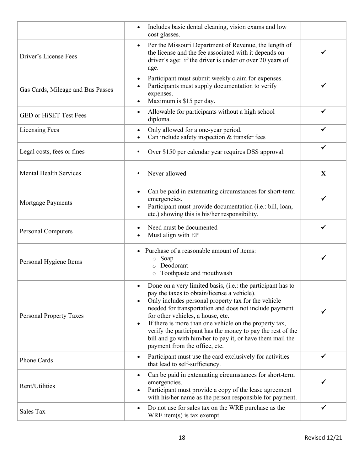|                                   | Includes basic dental cleaning, vision exams and low<br>$\bullet$<br>cost glasses.                                                                                                                                                                                                                                                                                                                                                                                                                                     |              |
|-----------------------------------|------------------------------------------------------------------------------------------------------------------------------------------------------------------------------------------------------------------------------------------------------------------------------------------------------------------------------------------------------------------------------------------------------------------------------------------------------------------------------------------------------------------------|--------------|
| Driver's License Fees             | Per the Missouri Department of Revenue, the length of<br>$\bullet$<br>the license and the fee associated with it depends on<br>driver's age: if the driver is under or over 20 years of<br>age.                                                                                                                                                                                                                                                                                                                        |              |
| Gas Cards, Mileage and Bus Passes | Participant must submit weekly claim for expenses.<br>$\bullet$<br>Participants must supply documentation to verify<br>expenses.<br>Maximum is \$15 per day.<br>$\bullet$                                                                                                                                                                                                                                                                                                                                              |              |
| <b>GED or HiSET Test Fees</b>     | Allowable for participants without a high school<br>$\bullet$<br>diploma.                                                                                                                                                                                                                                                                                                                                                                                                                                              |              |
| <b>Licensing Fees</b>             | Only allowed for a one-year period.<br>$\bullet$<br>Can include safety inspection & transfer fees                                                                                                                                                                                                                                                                                                                                                                                                                      | ✔            |
| Legal costs, fees or fines        | Over \$150 per calendar year requires DSS approval.<br>٠                                                                                                                                                                                                                                                                                                                                                                                                                                                               | ✔            |
| <b>Mental Health Services</b>     | Never allowed                                                                                                                                                                                                                                                                                                                                                                                                                                                                                                          | $\mathbf{X}$ |
| Mortgage Payments                 | Can be paid in extenuating circumstances for short-term<br>$\bullet$<br>emergencies.<br>Participant must provide documentation (i.e.: bill, loan,<br>etc.) showing this is his/her responsibility.                                                                                                                                                                                                                                                                                                                     |              |
| <b>Personal Computers</b>         | Need must be documented<br>Must align with EP                                                                                                                                                                                                                                                                                                                                                                                                                                                                          |              |
| Personal Hygiene Items            | Purchase of a reasonable amount of items:<br>Soap<br>$\circ$<br>Deodorant<br>$\circ$<br>o Toothpaste and mouthwash                                                                                                                                                                                                                                                                                                                                                                                                     |              |
| <b>Personal Property Taxes</b>    | Done on a very limited basis, (i.e.: the participant has to<br>٠<br>pay the taxes to obtain/license a vehicle).<br>Only includes personal property tax for the vehicle<br>$\bullet$<br>needed for transportation and does not include payment<br>for other vehicles, a house, etc.<br>If there is more than one vehicle on the property tax,<br>$\bullet$<br>verify the participant has the money to pay the rest of the<br>bill and go with him/her to pay it, or have them mail the<br>payment from the office, etc. | ✔            |
| <b>Phone Cards</b>                | Participant must use the card exclusively for activities<br>$\bullet$<br>that lead to self-sufficiency.                                                                                                                                                                                                                                                                                                                                                                                                                | ✓            |
| Rent/Utilities                    | Can be paid in extenuating circumstances for short-term<br>$\bullet$<br>emergencies.<br>Participant must provide a copy of the lease agreement<br>$\bullet$<br>with his/her name as the person responsible for payment.                                                                                                                                                                                                                                                                                                |              |
| Sales Tax                         | Do not use for sales tax on the WRE purchase as the<br>$\bullet$<br>$WRE$ item(s) is tax exempt.                                                                                                                                                                                                                                                                                                                                                                                                                       | ✔            |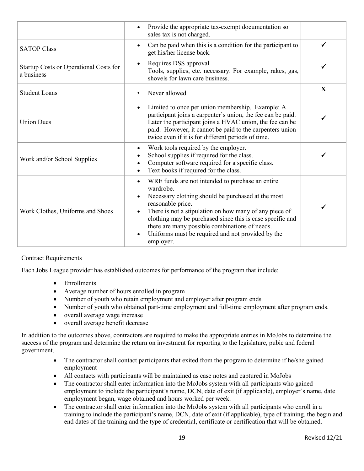|                                                      | Provide the appropriate tax-exempt documentation so<br>$\bullet$<br>sales tax is not charged.                                                                                                                                                                                                                                                                                                                                           |              |
|------------------------------------------------------|-----------------------------------------------------------------------------------------------------------------------------------------------------------------------------------------------------------------------------------------------------------------------------------------------------------------------------------------------------------------------------------------------------------------------------------------|--------------|
| <b>SATOP Class</b>                                   | Can be paid when this is a condition for the participant to<br>$\bullet$<br>get his/her license back.                                                                                                                                                                                                                                                                                                                                   | ✓            |
| Startup Costs or Operational Costs for<br>a business | Requires DSS approval<br>$\bullet$<br>Tools, supplies, etc. necessary. For example, rakes, gas,<br>shovels for lawn care business.                                                                                                                                                                                                                                                                                                      |              |
| <b>Student Loans</b>                                 | Never allowed                                                                                                                                                                                                                                                                                                                                                                                                                           | $\mathbf{X}$ |
| <b>Union Dues</b>                                    | Limited to once per union membership. Example: A<br>$\bullet$<br>participant joins a carpenter's union, the fee can be paid.<br>Later the participant joins a HVAC union, the fee can be<br>paid. However, it cannot be paid to the carpenters union<br>twice even if it is for different periods of time.                                                                                                                              |              |
| Work and/or School Supplies                          | Work tools required by the employer.<br>$\bullet$<br>School supplies if required for the class.<br>$\bullet$<br>Computer software required for a specific class.<br>Text books if required for the class.<br>$\bullet$                                                                                                                                                                                                                  |              |
| Work Clothes, Uniforms and Shoes                     | WRE funds are not intended to purchase an entire<br>$\bullet$<br>wardrobe.<br>Necessary clothing should be purchased at the most<br>$\bullet$<br>reasonable price.<br>There is not a stipulation on how many of any piece of<br>$\bullet$<br>clothing may be purchased since this is case specific and<br>there are many possible combinations of needs.<br>Uniforms must be required and not provided by the<br>$\bullet$<br>employer. |              |

## <span id="page-18-0"></span>Contract Requirements

Each Jobs League provider has established outcomes for performance of the program that include:

- Enrollments
- Average number of hours enrolled in program
- Number of youth who retain employment and employer after program ends
- Number of youth who obtained part-time employment and full-time employment after program ends.
- overall average wage increase
- overall average benefit decrease

In addition to the outcomes above, contractors are required to make the appropriate entries in MoJobs to determine the success of the program and determine the return on investment for reporting to the legislature, pubic and federal government.

- The contractor shall contact participants that exited from the program to determine if he/she gained employment
- All contacts with participants will be maintained as case notes and captured in MoJobs
- The contractor shall enter information into the MoJobs system with all participants who gained employment to include the participant's name, DCN, date of exit (if applicable), employer's name, date employment began, wage obtained and hours worked per week.
- The contractor shall enter information into the MoJobs system with all participants who enroll in a training to include the participant's name, DCN, date of exit (if applicable), type of training, the begin and end dates of the training and the type of credential, certificate or certification that will be obtained.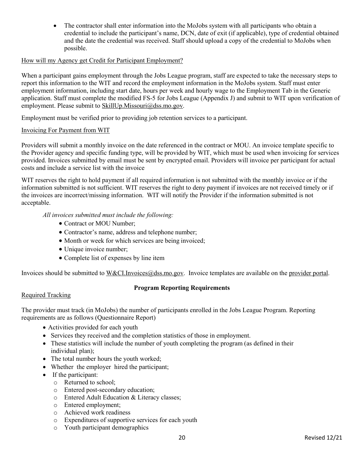• The contractor shall enter information into the MoJobs system with all participants who obtain a credential to include the participant's name, DCN, date of exit (if applicable), type of credential obtained and the date the credential was received. Staff should upload a copy of the credential to MoJobs when possible.

## <span id="page-19-0"></span>How will my Agency get Credit for Participant Employment?

When a participant gains employment through the Jobs League program, staff are expected to take the necessary steps to report this information to the WIT and record the employment information in the MoJobs system. Staff must enter employment information, including start date, hours per week and hourly wage to the Employment Tab in the Generic application. Staff must complete the modified FS-5 for Jobs League (Appendix J) and submit to WIT upon verification of employment. Please submit to [SkillUp.Missouri@dss.mo.gov.](mailto:SkillUp.Missouri@dss.mo.gov)

Employment must be verified prior to providing job retention services to a participant.

#### <span id="page-19-1"></span>Invoicing For Payment from WIT

Providers will submit a monthly invoice on the date referenced in the contract or MOU. An invoice template specific to the Provider agency and specific funding type, will be provided by WIT, which must be used when invoicing for services provided. Invoices submitted by email must be sent by encrypted email. Providers will invoice per participant for actual costs and include a service list with the invoice

WIT reserves the right to hold payment if all required information is not submitted with the monthly invoice or if the information submitted is not sufficient. WIT reserves the right to deny payment if invoices are not received timely or if the invoices are incorrect/missing information. WIT will notify the Provider if the information submitted is not acceptable.

#### *All invoices submitted must include the following:*

- Contract or MOU Number:
- Contractor's name, address and telephone number;
- Month or week for which services are being invoiced;
- Unique invoice number;
- Complete list of expenses by line item

<span id="page-19-2"></span>Invoices should be submitted t[o W&CI.Invoices@dss.mo.gov.](mailto:W&CI.Invoices@dss.mo.gov) Invoice templates are available on the [provider portal.](https://dss.mo.gov/skillup-provider-portal/)

## **Program Reporting Requirements**

#### <span id="page-19-3"></span>Required Tracking

The provider must track (in MoJobs) the number of participants enrolled in the Jobs League Program. Reporting requirements are as follows (Questionnaire Report)

- Activities provided for each youth
- Services they received and the completion statistics of those in employment.
- These statistics will include the number of youth completing the program (as defined in their individual plan);
- The total number hours the youth worked;
- Whether the employer hired the participant;
- If the participant:
	- o Returned to school;
	- o Entered post-secondary education;
	- o Entered Adult Education & Literacy classes;
	- o Entered employment;
	- o Achieved work readiness
	- o Expenditures of supportive services for each youth
	- o Youth participant demographics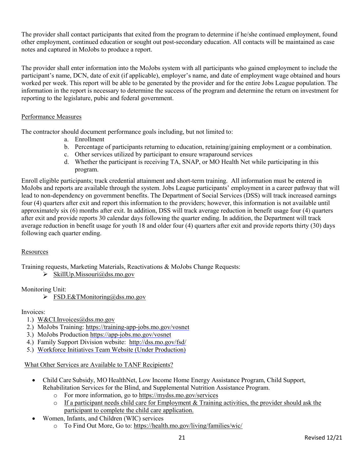The provider shall contact participants that exited from the program to determine if he/she continued employment, found other employment, continued education or sought out post-secondary education. All contacts will be maintained as case notes and captured in MoJobs to produce a report.

The provider shall enter information into the MoJobs system with all participants who gained employment to include the participant's name, DCN, date of exit (if applicable), employer's name, and date of employment wage obtained and hours worked per week. This report will be able to be generated by the provider and for the entire Jobs League population. The information in the report is necessary to determine the success of the program and determine the return on investment for reporting to the legislature, pubic and federal government.

## <span id="page-20-0"></span>Performance Measures

The contractor should document performance goals including, but not limited to:

- a. Enrollment
- b. Percentage of participants returning to education, retaining/gaining employment or a combination.
- c. Other services utilized by participant to ensure wraparound services
- d. Whether the participant is receiving TA, SNAP, or MO Health Net while participating in this program.

Enroll eligible participants; track credential attainment and short-term training. All information must be entered in MoJobs and reports are available through the system. Jobs League participants' employment in a career pathway that will lead to non-dependency on government benefits. The Department of Social Services (DSS) will track increased earnings four (4) quarters after exit and report this information to the providers; however, this information is not available until approximately six (6) months after exit. In addition, DSS will track average reduction in benefit usage four (4) quarters after exit and provide reports 30 calendar days following the quarter ending. In addition, the Department will track average reduction in benefit usage for youth 18 and older four (4) quarters after exit and provide reports thirty (30) days following each quarter ending.

## <span id="page-20-1"></span>Resources

Training requests, Marketing Materials, Reactivations & MoJobs Change Requests:

 $\triangleright$  [SkillUp.Missouri@dss.mo.gov](mailto:SkillUp.Missouri@dss.mo.gov)

Monitoring Unit:

 $\triangleright$  [FSD.E&TMonitoring@dss.mo.gov](mailto:FSD.E&TMonitoring@dss.mo.gov)

#### Invoices:

- 1.) [W&CI.Invoices@dss.mo.gov](mailto:W&CI.Invoices@dss.mo.gov)
- 2.) MoJobs Training: [https://training-app-jobs.mo.gov/vosnet](https://training-app-jobs.mo.gov/vosnet/Default.aspx)
- 3.) MoJobs Productio[n https://app-jobs.mo.gov/vosnet](https://app-jobs.mo.gov/vosnet)
- 4.) Family Support Division website: <http://dss.mo.gov/fsd/>
- 5.) Workforce Initiatives Team Website (Under Production)

<span id="page-20-2"></span>What Other Services are Available to TANF Recipients?

- Child Care Subsidy, MO HealthNet, Low Income Home Energy Assistance Program, Child Support, Rehabilitation Services for the Blind, and Supplemental Nutrition Assistance Program.
	- o For more information, go to<https://mydss.mo.gov/services>
	- o If a participant needs child care for Employment & Training activities, the provider should ask the participant to complete the child care application.
- Women, Infants, and Children (WIC) services
	- o To Find Out More, Go to:<https://health.mo.gov/living/families/wic/>